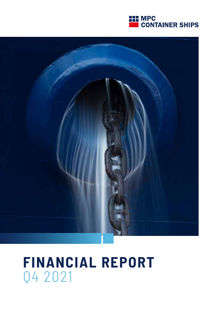



# **FINANCIAL REPORT**  Q4 2021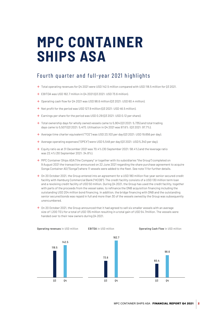# to MPCC Shares **MPC CONTAINER**  $\blacksquare$ approved annual account for the financial year 2020. The decision is based on an authority granted by the decision is based on an authority granted by the decision is based on an authority granted by the decision is based **SHIPS ASA**

# Fourth quarter and full-year 2021 highlights

- + Total operating revenues for Q4 2021 were USD 142.5 million compared with USD 118.5 million for Q3 2021.
- + EBITDA was USD 162.7 million in Q4 2021 (Q3 2021: USD 73.6 million).
- + Operating cash flow for Q4 2021 was USD 98.6 million (Q3 2021: USD 60.4 million).
- + Net profit for the period was USD 127.9 million (Q3 2021: USD 46.5 million).
- + Earnings per share for the period was USD 0.29 (Q3 2021: USD 0.12 per share).
- + Total ownership days for wholly owned vessels came to 5,904 (Q3 2021: 5,735) and total trading days came to 5,507 (Q3 2021: 5,417). Utilisation in Q4 2021 was 97.6% (Q3 2021: 97.7%).
- + Average time charter equivalent ("TCE") was USD 23,103 per day (Q3 2021: USD 19,656 per day).
- $+$  Average operating expenses ("OPEX") were USD 5,548 per day (Q3 2021: USD 5,340 per day).
- was 22.4% (30 September 2021: 34.8%).  $\blacksquare$ + Equity ratio as at 31 December 2021 was 70.4% (30 September 2021: 58.4%) and the leverage ratio
- $+$  MPC Container Ships ASA ("the Company" or together with its subsidiaries "the Group") completed on 2021 was a remarkable year for the container shipping industry with historically good market conditions, where we Songa Container AS ("Songa") where 11 vessels were added to the fleet. See note 11 for further details. 9 August 2021 the transaction announced on 22 June 2021 regarding the share purchase agreement to acquire
- $+~$  On 20 October 2021, the Group entered into an agreement for a USD 180 million five-year senior secured credit facility with Hamburg Commercial Bank ("HCOB"). The credit facility consists of a USD 130 million term loan and a revolving credit facility of USD 50 million. During Q4 2021, the Group has used the credit facility, together outstanding USD 204 million bond financing. In addition, the bridge financing with DNB and the outstanding senior secured bonds was repaid in full and more than 30 of the vessels owned by the Group was subsequently<br>unoncumbered with parts of the proceeds from the vessel sales, to refinance the DNB acquisition financing including the unencumbered.
- $+$  On 20 October 2021, the Group announced that it had agreed to sell six smaller vessels with an average size of 1,200 TEU for a total of USD 135 million resulting in a total gain of USD 54.7million. The vessels were<br>had dividend the inners were also a 04,0001. handed over to their new owners during Q4 2021.

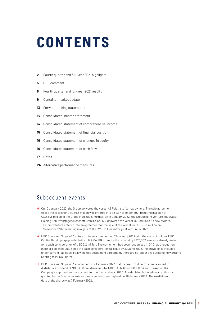# **Financial performance** The Group's vessels are chartered out on time charter contracts to global and regional liner shipping companies. **CONTENTS**

- **2** Fourth quarter and full-year 2021 highlights
- **5** CEO comment
	- **8** Fourth quarter and full-year 2021 results
	- **9** Container market update
- **13** Forward-looking statements
- **14** Consolidated income statement
	- **14** Consolidated statement of comprehensive income
	- **15** Consolidated statement of financial position
- **16** Consolidated statement of changes in equity
- **16** Consolidated statement of cash flow
- $\blacksquare$  Notes **17** Notes
- **24** Alternative performance measures

# $149.5$  million related to the acquisition of Songa Container (see note 11) and the net period of USD  $\alpha$ Subsequent events

- + On 10 January 2022, the Group delivered the vessel AS Palatia to its new owners. The sale agreement to sell the vessel for USD 35.8 million was entered into on 22 November 2021 resulting in a gain of **Cash flow** Holding Schifffahrtsgeselleschaft GmbH & Co. KG, delivered the vessel AS Petulia to its new owners. 17 November 2021 resulting in a gain of USD 23.1 million in the joint venture in 2022. USD 21.5 million in the Group in Q1 2022. Further, on 13 January 2022, the Group's joint venture, Bluewater The joint venture entered into an agreement for the sale of the vessel for USD 35.8 million on
- + MPC Container Ships ASA entered into an agreement on 21 January 2022 with the warrant holders MPC Capital Beteiligungsgesellschaft mbH & Co. KG, to settle the remaining 1,870,302 warrants already vested for a cash consideration of USD 2.2 million. The settlement has been recognised in Q4 21 as a reduction under current liabilities. Following this settlement agreement, there are no longer any outstanding warrants relating to MPCC Shares. The DNB Bridge financing of USD 97.5 million and the DNB 180 million of USD 180 million of  $U$ + On 10 January 2022, the Group delivered the vessel AS Palatia to its new owners. The sale agreement<br>to sell the vessel for USD 36.8 million was entered into on 22 November 2022 resulting in a gain of<br>USD 21.5 million i in other paid in equity. Since the cash consideration falls due by 30 June 2022, the provision is included
- + MPC Container Ships ASA announced on 2 February 2022 that its board of directors has resolved to distribute a urritent of Nort 3.00 per share, in total Nort 1.00 billion (00D 100 million), based on the<br>Company's approved annual account for the financial year 2020. The decision is based on an authority granted by the Company's extraordinary general meeting held on 28 January 2022. The ex-dividend date of the shares was 7 February 2022. distribute a dividend of NOK 3.00 per share, in total NOK 1.33 billion (USD 150 million), based on the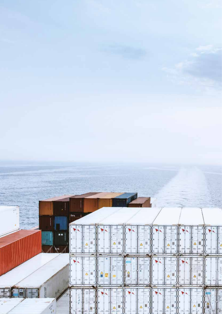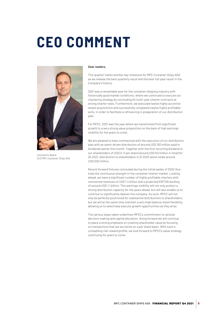# to MPCC Shares **CEO COMMENT**



the best full-year result in the Company's history. CEO MPC Container Ships ASAConstantin Baack

#### **Dear readers,**

This quarter marks another key milestone for MPC Container Ships ASA as we release the best quarterly result and the best full-year result in the Company's history.

2021 was a remarkable year for the container shipping industry with historically good market conditions, where we continued to execute our chartering strategy by concluding 54 multi-year charter contracts at strong charter rates. Furthermore, we executed twelve highly accretive vessel acquisitions and successfully completed twelve highly profitable exits, in order to facilitate a refinancing in preparation of our distribution plan.

For MPCC, 2021 was the year where we transitioned from significant growth to a very strong value proposition on the back of high earnings visibility for the years to come.

our shareholders of USD 0.11 per share (around USD 50 million in total) for We are pleased to have commenced with the execution of our distribution plan with an event-driven distribution of around USD 150 million paid in dividends earlier this month. Together with the first recurring dividend to Q4 2021, distribution to shareholders in Q1 2022 alone totals around USD 200 million.

2021 was a remarkable year for the container shipping industry with historically good market conditions, where we Recent forward fixtures concluded during the initial weeks of 2022 illustrate the continuous strength in the container charter market. Looking ahead, we have a significant number of highly profitable charters with order to facilitate a refinancing the refinement and a projected EBT BT because<br>of around USD 1.1 billion. This earnings visibility will not only protect a continue to significantly delever the company. As such, MPCC will not only be perfectly positioned for substantial distributions to shareholders, allowing us to selectively execute growth opportunities as they arise.<br> contracted revenues of USD 1.4 billion and a projected EBITDA backlog strong distribution capacity for the years ahead, but will also enable us to but we will at the same time maintain a very high balance sheet flexibility,

The various steps taken underlines MPCC's commitment to rational decision making and capital allocation. Going forward we will continue  $202$ continuing for years to come. to place a strong emphasis on creating shareholder value by focusing on transactions that are accretive on a per share basis. With such a compelling risk-reward profile, we look forward to MPCC's value strategy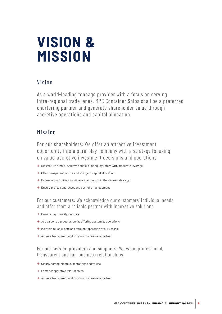# **Financial performance VISION &** <br> **VISION &** Operating revenues for the quarter were USD 142.5 million (Q3 2021: USD 118.5 million). Gross profit from vessel operations was USD 117.0 million (Q3 2021: USD 79.6 million). The increase in operating revenues and gross profit compared with the previous quarter was driven by the strong charter market and container demand, leading to **MISSION**

# $\lambda$ ditionally, the acquisition of Songa Container, which was consolidated from 9 August 2021, has contributed to this contributed to this contributed to this contributed to this contributed to this contributed to this co

As a world-leading tonnage provider with a focus on serving intra-regional trade lanes, MPC Container Ships shall be a preferred chartering partner and generate shareholder value through accretive operations and capital allocation. Wislon<br>
As a world-leading tonnage provider with a focus on serving<br>
intra-regional trade lanes. MPC Container Ships shall be a preferred<br>
charactering partner and generate shareholder value through<br>
accretive operations a

# **Financial position** Mission

For our shareholders: We offer an attractive investment the carrying amounts of the vessels operative direction investments in the equity into a joint venture into a joint venture into a joint venture into a joint venture into a joint venture into a joint venture into a joint v opportunity into a pure-play company with a strategy focusing on value-accretive investment decisions and operations

- $+$  Risk/return profile: Achieve double-digit equity return with moderate leverage
- + Offer transparent, active and stringent capital allocation
- $T_{\text{S}}$  727.6 million as  $T_{\text{S}}$  at 31 December 31  $\mu$  million as 31  $\mu$  as 31  $\mu$  december 31  $\mu$  as  $31$  $+$  Pursue opportunities for value accretion within the defined strategy
- + Ensure professional asset and portfolio management

For our customers: We acknowledge our customers' individual needs and offer them a reliable partner with innovative solutions

- + Provide high-quality services
- $+$  Add value to our customers by offering customized solutions
- + Maintain reliable, safe and efficient operation of our vessels
- $+$  Act as a transparent and trustworthy business partner

# million partly offset by CAPEX and other vessel upgrades. The Group had a negative cash flow from financing For our service providers and suppliers: We value professional, transparent and fair business relationships

- + Clearly communicate expectations and values
- + Foster cooperative relationships
- $+$  Act as a transparent and trustworthy business partner. The case of prior  $\alpha$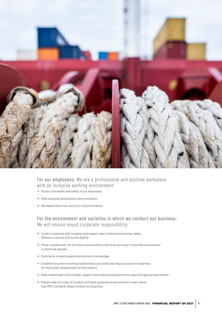

# with an inclusive working environment<br>with an inclusive working environment

- when an interactive werning environment.<br>+ Protect the health and safety of our employees 149.5 million related to the acquisition of Songa Container (see note 11) and the net profit for the period of USD
- + Offer personal development and motivation
- + Workplace free from any form of discrimination

# For the environment and societies in which we conduct our business: In  $\mathcal{A}_1$  and  $\mathcal{A}_2$  positive cases of USD 98.6 million ( $\mathcal{A}_2$  2021: USD 98.6 million ( $\mathcal{A}_3$ For our employees: We are a professional and positive workplace<br>with an inclusive working environment<br>+ Pretecte health and select of our employees<br>+ Different cheapta and motivation<br>+ Warkplace free from any form of discr We will ensure sound corporate responsibility

- $+$  Conduct business with integrity and respect laws, fundamental human rights, resulting from proceeds from sold vessels of USD 132.9 million, dividend from joint venture investments of USD 22.5 different cultures and human dignity
- $+$  Show consideration for the local communities in which we are a part of and the environment activities of USD 134.9 million in Q4 2021 (Q3 2021: positive USD 53.3 million) mainly affected by repayment of the theory affected by repayment of the theory affected by repayment of the theory affected by repayment of th in which we operate
- + Contribute to learning and distribution of knowledge
- $+$  Establish long-term working relationships and utilize the shipping sector's expertise For the full the defense prime  $\sigma$  the middle,  $\sigma$ for the further development of the industry
- $+ \,$  Meet stakeholders with insight, respect and understanding and in an open and appropriate manner
- + Please read our Code of Conduct and other governance documents to learn about how MPC Container Ships conduct our business.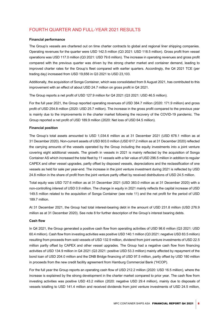# FOURTH QUARTER AND FULL-YEAR 2021 RESULTS

# **Financial performance**

The Group's vessels are chartered out on time charter contracts to global and regional liner shipping companies. Operating revenues for the quarter were USD 142.5 million (Q3 2021: USD 118.5 million). Gross profit from vessel operations was USD 117.0 million (Q3 2021: USD 79.6 million). The increase in operating revenues and gross profit compared with the previous quarter was driven by the strong charter market and container demand, leading to improved charter rates for the Group's fleet compared with earlier quarters. Accordingly, the Q4 2021 TCE (per trading day) increased from USD 19,656 in Q3 2021 to USD 23,103.

Additionally, the acquisition of Songa Container, which was consolidated from 9 August 2021, has contributed to this improvement with an effect of about USD 24.7 million on gross profit in Q4 2021.

The Group reports a net profit of USD 127.9 million for Q4 2021 (Q3 2021: USD 46.5 million).

For the full year 2021, the Group reported operating revenues of USD 384.7 million (2020: 171.9 million) and gross profit of USD 254.8 million (2020: USD 25.7 million). The increase in the gross profit compared to the previous year is mainly due to the improvements in the charter market following the recovery of the COVID-19 pandemic. The Group reported a net profit of USD 189.9 million (2020: Net loss of USD 64.5 million).

# **Financial position**

The Group's total assets amounted to USD 1,034.6 million as at 31 December 2021 (USD 678.1 million as at 31 December 2020). Non-current assets of USD 803.0 million (USD 617.2 million as at 31 December 2020) reflected the carrying amounts of the vessels operated by the Group including the equity investments into a joint venture covering eight additional vessels. The growth in vessels in 2021 is mainly reflected by the acquisition of Songa Container AS which increased the total fleet by 11 vessels with a fair value of USD 296.5 million in addition to regular CAPEX and other vessel upgrades, partly offset by disposed vessels, depreciations and the reclassification of one vessels as held for sale per year-end. The increase in the joint venture investment during 2021 is reflected by USD 24.8 million in the share of profit from the joint venture partly offset by received distributions of USD 24.5 million.

Total equity was USD 727.6 million as at 31 December 2021 (USD 383.0 million as at 31 December 2020) with a non-controlling interest of USD 0.9 million. The change in equity in 2021 mainly reflects the capital increase of USD 149.5 million related to the acquisition of Songa Container (see note 11) and the net profit for the period of USD 189.7 million.

At 31 December 2021, the Group had total interest-bearing debt in the amount of USD 231.8 million (USD 276.9 million as at 31 December 2020). See note 8 for further description of the Group's interest bearing debts.

## **Cash flow**

In Q4 2021, the Group generated a positive cash flow from operating activities of USD 98.6 million (Q3 2021: USD 60.4 million). Cash flow from investing activities was positive USD 140.1 million (Q3 2021: negative USD 83.5 million) resulting from proceeds from sold vessels of USD 132.9 million, dividend from joint venture investments of USD 22.5 million partly offset by CAPEX and other vessel upgrades. The Group had a negative cash flow from financing activities of USD 134.9 million in Q4 2021 (Q3 2021: positive USD 53.3 million) mainly affected by repayment of the bond loan of USD 204.0 million and the DNB Bridge financing of USD 97.5 million, partly offset by USD 180 million in proceeds from the new credit facility agreement from Hamburg Commercial Bank ("HCOP).

For the full year the Group reports an operating cash flow of USD 212.2 million (2020: USD 16.5 million), where the increase is explained by the strong development in the charter market compared to prior year. The cash flow from investing activities was positive USD 43.2 million (2020: negative USD 29.4 million), mainly due to disposals of vessels totalling to USD 141.4 million and received dividends from joint venture investments of USD 24.5 million,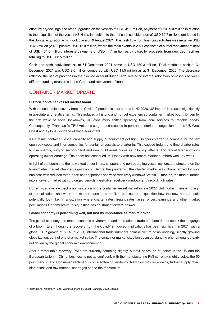offset by drydockings and other upgrades on the vessels of USD 41.1 million, payment of USD 9.0 million in relation to the acquisition of the vessel AS Nadia in addition to the net cash consideration of USD 72.7 million contributed in the Songa acquisition which took place on 9 August 2021. The cash flow from financing activities was negative USD 114.3 million (2020: positive USD 12.0 million) where the main events in 2021 consisted of a total repayment of debt of USD 454.6 million, interests payments of USD 14.1 million partly offset by proceeds from new debt facilities totalling to USD 368.5 million.

Cash and cash equivalents as at 31 December 2021 came to USD 180.3 million. Total restricted cash at 31 December 2021 was USD 2.6 million compared with USD 11.5 million as at 31 December 2020. The decrease reflected the use of proceeds in the blocked account during 2021 related to internal relocation of vessels between different funding structures in the Group and repayment of loans.

# CONTAINER MARKET UPDATE

# **Historic container vessel market boom**

With the economic recovery from the Covid-19 pandemic, that started in H2 2020, US imports increased significantly in absolute and relative terms. This induced a historic and not yet experienced container market boom. Driven by the first wave of social lockdowns, US consumers shifted spending from local services to tradable goods. Consequently, Transpacific TEU Volumes surged and resulted in port and hinterland congestions at the US West Coast and a global shortage of trade equipment.

As a result, container vessel capacity and supply of equipment got tight. Shippers started to compete for the few open box spots and liner companies for container vessels to charter-in. This caused freight and time-charter rates to rise sharply, surging second-hand and new build asset prices as follow-up effects, and record liner and nonoperating owner earnings. The boom has continued until today with new record market numbers week-by-week.

In light of the boom and the new situation for liners, shippers and non-operating vessel owners, the structure on the time-charter market changed significantly. Before the pandemic, the charter market was characterized by spot business with reduced rates, short charter periods and wide redelivery windows. Within 18 months, the market turned into a forward market with prolonged periods, negligible redelivery windows and record high rates.

Currently, analysts expect a normalization of the container vessel market in late 2022. Until today, there is no sign of normalization, and when the market starts to normalize, one needs to question how the new normal could potentially look like. In a situation where charter rates, freight rates, asset prices, earnings and other market peculiarities fundamentally, this question has no straightforward answer.

## **Global economy is performing well, but lost its importance as market driver**

The global economy, the macroeconomic environment and international trade numbers do not speak the language of a boom. Even though the recovery from the Covid-19 induced implications has been significant in 2021, with a global GDP growth of 5.9% in 2021, international trade numbers paint a picture of an ongoing, slightly growing globalization, but not one of a market spike. The container market situation as an outstanding phenomena is clearly not driven by the global economic environment.2

After a remarkable recovery, PMIs are currently softening slightly, but still at around 59 points in the US and the European Union In China, business is not as confident, with the manufacturing PMI currently slightly below the 50 point benchmark. Consumer sentiment is on a softening tendency. New Covid-19 lockdowns, further supply chain disruptions and raw material shortages add to the momentum.

<sup>2</sup> International Monetary Fund, World Economic Outlook, January 2022 Update.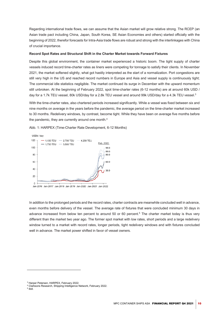Regarding international trade flows, we can assume that the Asian market will grow relative strong. The RCEP (an Asian trade pact including China, Japan, South Korea, SE Asian Economies and others) started officially with the beginning of 2022, therefor forecasts for Intra-Asia trade flows are robust and strong with the interlinkages with China of crucial importance.

## **Record Spot Rates and Structural Shift in the Charter Market towards Forward Fixtures**

Despite this global environment, the container market experienced a historic boom. The tight supply of charter vessels induced record time-charter rates as liners were competing for tonnage to satisfy their clients. In November 2021, the market softened slightly, what got hastily interpreted as the start of a normalization. Port congestions are still very high in the US and reached record numbers in Europe and Asia and vessel supply is continuously tight; The commercial idle statistics negligible. The market continued its surge in December with the upward momentum still unbroken. At the beginning of February 2022, spot time-charter rates (6-12 months) are at around 60k USD / day for a 1.7k TEU vessel, 80k USD/day for a 2.8k TEU vessel and around 99k USD/day for a 4.3k TEU vessel.<sup>3</sup>

With the time-charter rates, also chartered periods increased significantly. While a vessel was fixed between six and nine months on average in the years before the pandemic, the average period on the time-charter market increased to 30 months. Redelivery windows, by contrast, become tight. While they have been on average five months before the pandemic, they are currently around one month.<sup>4</sup>

USDk / day 120  $-1.100$  TEU  $-2.700$  TEU 4.250 TEU Feb. 2022:  $-1,700$  TEU  $-3,500$  TEU 100 99.0 89 U 80 80.0 60 60.0 40 36.0 20  $\Omega$ 

Abb. 1: HARPEX (Time-Charter Rate Development, 6-12 Months)

Jan-2016 Jan-2017 Jan-2018 Jan-2019 Jan-2020 Jan-2021 Jan-2022

In addition to the prolonged periods and the record rates, charter contracts are meanwhile concluded well in advance, even months before delivery of the vessel. The average rate of fixtures that were concluded minimum 30 days in advance increased from below ten percent to around 50 or 60 percent.<sup>5</sup> The charter market today is thus very different than the market two year ago. The former spot market with low rates, short periods and a large redelivery window turned to a market with record rates, longer periods, tight redelivery windows and with fixtures concluded well in advance. The market power shifted in favor of vessel owners.

<sup>3</sup> Harper Petersen, HARPEX, February 2022.

<sup>4</sup> Clarksons Research, Shipping Intelligence Network, February 2022.

<sup>5</sup> ibid.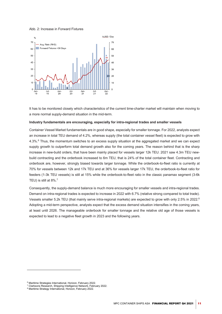#### Abb. 2: Increase in Forward Fixtures



It has to be monitored closely which characteristics of the current time-charter market will maintain when moving to a more normal supply-demand situation in the mid-term.

## **Industry fundamentals are encouraging, especially for intra-regional trades and smaller vessels**

Container Vessel Market fundamentals are in good shape, especially for smaller tonnage. For 2022, analysts expect an increase in total TEU demand of 4.2%, whereas supply (the total container vessel fleet) is expected to grow with 4.3%.<sup>6</sup> Thus, the momentum switches to an excess supply situation at the aggregated market and we can expect supply growth to outperform total demand growth also for the coming years. The reason behind that is the sharp increase in new-build orders, that have been mainly placed for vessels larger 12k TEU. 2021 saw 4.3m TEU newbuild contracting and the orderbook increased to 6m TEU, that is 24% of the total container fleet. Contracting and orderbook are, however, strongly biased towards larger tonnage. While the orderbook-to-fleet ratio is currently at 70% for vessels between 12k and 17k TEU and at 36% for vessels larger 17k TEU, the orderbook-to-fleet ratio for feeders (1-3k TEU vessels) is still at 15% while the orderbook-to-fleet ratio in the classic panamax segment (3-6k TEU) is still at 8%.<sup>7</sup>

Consequently, the supply-demand balance is much more encouraging for smaller vessels and intra-regional trades. Demand on intra-regional trades is expected to increase in 2022 with 6.7% (relative strong compared to total trade). Vessels smaller 5.2k TEU (that mainly serve intra-regional markets) are expected to grow with only 2.5% in 2022.<sup>8</sup> Adopting a mid-term perspective, analysts expect that the excess demand situation intensifies in the coming years, at least until 2026. The manageable orderbook for smaller tonnage and the relative old age of those vessels is expected to lead to a negative fleet growth in 2023 and the following years.

<sup>6</sup> Maritime Strategies International, Horizon, February 2022.

<sup>7</sup> Clarksons Research, Shipping Intelligence Network, February 2022.

<sup>8</sup> Maritime Strategy International, Horizon, February 2022.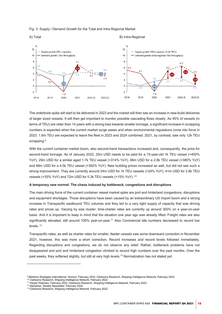# Fig. 3: Supply / Demand Growth for the Total and Intra Regional Market



The orderbook spike will start to be delivered in 2023 and the market will then see an increase in new-build deliveries of larger sized vessels. It will then get important to monitor possible cascading flows closely. As 45% of vessels (in terms of TEU) are older than 14 years with a strong bias towards smaller tonnage, a significant increase in scrapping numbers is expected when the current market surge eases and when environmental regulations come into force in 2023. 1.6m TEU are expected to leave the fleet in 2023 and 2024 combined. 2021, by contrast, saw only 12k TEU scrapping.<sup>9</sup>

With the current container market boom, also second-hand transactions increased and, consequently, the price for second-hand tonnage. As of January 2022, 20m USD needs to be paid for a 15-year-old 1k TEU vessel (+400% YoY), 29m USD for a similar aged 1.7k TEU vessel (+314% YoY), 48m USD for a 2.8k TEU vessel (+380% YoY) and 68m USD for a 4.5k TEU vessel (+382% YoY). New building prices increased as well, but did not see such a strong improvement. They are currently around 24m USD for 1k TEU vessels (+24% YoY), 41m USD for 2.8k TEU vessels (+35% YoY) and 72m USD for 5.3k TEU vessels (+15% YoY). <sup>10</sup>

## **A temporary new normal: The chaos induced by bottleneck, congestions and disruptions**

The main driving force of the current container vessel market spike are port and hinterland congestions, disruptions and equipment shortages. Those disruptions have been caused by an extraordinary US Import boom and a strong increase in Transpacific eastbound TEU volumes and they led to a very tight supply of capacity that was driving rates and prices up. Varying by size cluster, time-charter rates are currently up around 300% on a year-on-year basis. And it is important to keep in mind that the situation one year ago was already lifted. Freight rates are also significantly elevated, still around 100% year-on-year.<sup>11</sup> Also Commercial idle numbers decreased to record low levels.<sup>12</sup>

Transpacific rates, as well as charter rates for smaller, feeder vessels saw some downward correction in November 2021, however, this was more a short correction. Record increases and record levels followed immediately. Regarding disruptions and congestions, we do not observe any relief. Rather, bottleneck problems have not disappeared and port and hinterland congestion climbed to record high numbers over the past months. Over the past weeks, they softened slightly, but still at very high levels.<sup>13</sup> Normalization has not stated yet.

<sup>9</sup> Maritime Strategies International, Horizon, February 2022; Clarksons Research, Shipping Intelligence Network, February 2022.

<sup>10</sup> Clarksons Research, Shipping Intelligence Network, February 2022. <sup>11</sup> Harper Petersen, February 2022; Clarksons Research, Shipping Intelligence Network, February 2022.

<sup>12</sup> Alphaliner, Weekly Newsletter, February 2022.

<sup>&</sup>lt;sup>13</sup> Clarksons Research, Shipping Intelligence Network, February 2022.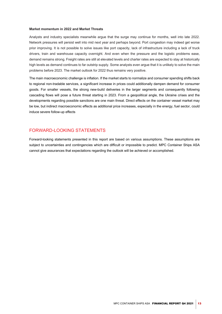#### **Market momentum in 2022 and Market Threats**

Analysts and industry specialists meanwhile argue that the surge may continue for months, well into late 2022. Network pressures will persist well into mid next year and perhaps beyond. Port congestion may indeed get worse prior improving. It is not possible to solve issues like port capacity, lack of infrastructure including a lack of truck drivers, train and warehouse capacity overnight. And even when the pressure and the logistic problems ease, demand remains strong. Freight rates are still at elevated levels and charter rates are expected to stay at historically high levels as demand continues to far outstrip supply. Some analysts even argue that it is unlikely to solve the main problems before 2023. The market outlook for 2022 thus remains very positive.

The main macroeconomic challenge is inflation. If the market starts to normalize and consumer spending shifts back to regional non-tradable services, a significant increase in prices could additionally dampen demand for consumer goods. For smaller vessels, the strong new-build deliveries in the larger segments and consequently following cascading flows will pose a future threat starting in 2023. From a geopolitical angle, the Ukraine crises and the developments regarding possible sanctions are one main threat. Direct effects on the container vessel market may be low, but indirect macroeconomic effects as additional price increases, especially in the energy, fuel sector, could induce severe follow-up effects

# FORWARD-LOOKING STATEMENTS

Forward-looking statements presented in this report are based on various assumptions. These assumptions are subject to uncertainties and contingencies which are difficult or impossible to predict. MPC Container Ships ASA cannot give assurances that expectations regarding the outlook will be achieved or accomplished.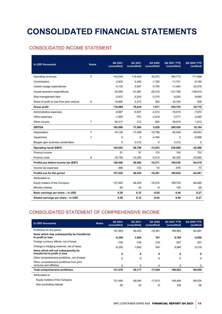# **CONSOLIDATED FINANCIAL STATEMENTS**

# CONSOLIDATED INCOME STATEMENT

| In USD thousands                           | <b>Notes</b>   | Q4 2021<br>(unaudited) | Q3 2021<br>(unaudited) | Q4 2020<br>(unaudited) | Q4 2021 YTD<br>(unaudited) | Q4 2020 YTD<br>(audited) |
|--------------------------------------------|----------------|------------------------|------------------------|------------------------|----------------------------|--------------------------|
|                                            |                |                        |                        |                        |                            |                          |
| Operating revenues                         | 5              | 142,548                | 118,463                | 45,573                 | 384,710                    | 171,898                  |
| Commissions                                |                | $-3,903$               | $-3,340$               | $-1.782$               | $-11,741$                  | $-6,166$                 |
| Vessel voyage expenditures                 |                | $-4,135$               | $-3,567$               | $-5,750$               | $-11,982$                  | $-22,978$                |
| Vessel operation expenditures              |                | $-33,469$              | $-31,981$              | $-28,316$              | $-121,766$                 | $-108,915$               |
| Ship management fees                       |                | $-2,672$               | $-2,243$               | $-2,210$               | $-9,263$                   | $-9,065$                 |
| Share of profit or loss from joint venture | 6              | 18,600                 | 2,313                  | 363                    | 24,794                     | 936                      |
| <b>Gross profit</b>                        |                | 116,969                | 79,634                 | 7,871                  | 254,753                    | 25,710                   |
| Administrative expenses                    |                | $-8,967$               | $-5,591$               | $-2.013$               | $-19.519$                  | $-7,874$                 |
| Other expenses                             |                | $-1,629$               | $-781$                 | $-2,019$               | $-3,771$                   | $-3,485$                 |
| Other income                               | $\overline{7}$ | 56,317                 | 312                    | 683                    | 58,974                     | 1,812                    |
| <b>EBITDA</b>                              |                | 162,690                | 73,584                 | 4,529                  | 290,436                    | 16,164                   |
| Depreciation                               | $\overline{7}$ | $-18,138$              | $-17,098$              | $-12.798$              | $-62,049$                  | $-49,653$                |
| Impairment                                 | $\overline{7}$ | $\Omega$               | 0                      | $-4,764$               | $\mathbf 0$                | $-8,996$                 |
| Bargain gain business combination          |                | $\mathbf 0$            | 2,312                  | 0                      | 2,312                      | 0                        |
| <b>Operating result (EBIT)</b>             |                | 144,552                | 58,798                 | $-13,033$              | 230,699                    | $-42,486$                |
| Finance income                             |                | 51                     | 37                     | 172                    | 155                        | 733                      |
| Finance costs                              | 8              | $-16, 195$             | $-12,250$              | $-5,510$               | $-40,325$                  | $-22,665$                |
| Profit/Loss before income tax (EBT)        |                | 128,408                | 46,585                 | $-18,371$              | 190,530                    | $-64,418$                |
| Income tax expenses                        |                | $-480$                 | $-132$                 | $-10$                  | $-676$                     | -73                      |
| Profit/Loss for the period                 |                | 127,928                | 46,453                 | $-18,381$              | 189,854                    | $-64,491$                |
| Attributable to:                           |                |                        |                        |                        |                            |                          |
| Equity holders of the Company              |                | 127,845                | 46,420                 | $-18,374$              | 189,725                    | -64,465                  |
| Minority interest                          |                | 83                     | 33                     | -8                     | 129                        | $-26$                    |
| Basic earnings per share - in USD          |                | 0.29                   | 0.12                   | $-0.05$                | 0.46                       | -0.27                    |
| Diluted earnings per share - in USD        |                | 0.29                   | 0.12                   | $-0.05$                | 0.46                       | $-0.27$                  |

# CONSOLIDATED STATEMENT OF COMPREHENSIVE INCOME

| In USD thousands                                                      | <b>Notes</b> | Q4 2021<br>(unaudited) | Q3 2021<br>(unaudited) | Q4 2020<br>(unaudited) | Q4 2021 YTD<br>(unaudited) | Q4 2020 YTD<br>(audited) |
|-----------------------------------------------------------------------|--------------|------------------------|------------------------|------------------------|----------------------------|--------------------------|
| Profit/loss for the period                                            |              | 127,928                | 46,453                 | $-18,381$              | 189,854                    | $-64,491$                |
| Items which may subsequently be transferred<br>to profit or loss      |              | $-6,350$               | 1,664                  | 761                    | 8,769                      | $-5,059$                 |
| Foreign currency effects, net of taxes                                |              | $-100$                 | $-136$                 | 216                    | $-297$                     | 257                      |
| Change in hedging reserves, net of taxes                              |              | $-6,250$               | 1,800                  | 545                    | 9,066                      | $-5,316$                 |
| Items which will not subsequently be<br>transferred to profit or loss |              | 0                      | 0                      | 0                      | 0                          | 0                        |
| Other comprehensive profit/loss, net of taxes                         |              | 0                      | 0                      | $\mathbf 0$            | $\Omega$                   | 0                        |
| Other comprehensive profit/loss from joint<br>ventures and affiliates |              | 0                      | 0                      | $\Omega$               | $\Omega$                   | 0                        |
| Total comprehensive profit/loss                                       |              | 121,578                | 48,117                 | $-17,620$              | 198,623                    | $-69,550$                |
| Attributable to:                                                      |              |                        |                        |                        |                            |                          |
| Equity holders of the Company                                         |              | 121,495                | 48,084                 | $-17.612$              | 198,494                    | $-69,524$                |
| Non-controlling interest                                              |              | 83                     | 33                     | -8                     | 129                        | $-26$                    |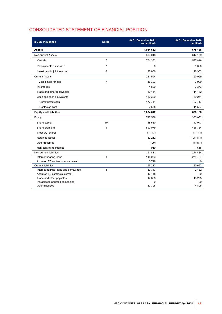# CONSOLIDATED STATEMENT OF FINANCIAL POSITION

| In USD thousands                      | <b>Notes</b>   | At 31 December 2021<br>(unaudited) | At 31 December 2020<br>(audited) |
|---------------------------------------|----------------|------------------------------------|----------------------------------|
| <b>Assets</b>                         |                | 1,034,612                          | 678,138                          |
| Non-current Assets                    |                | 803,018                            | 617,179                          |
| Vessels                               | $\overline{7}$ | 774,362                            | 587,816                          |
| Prepayments on vessels                | $\overline{7}$ | $\Omega$                           | 1,000                            |
| Investment in joint venture           | 6              | 28.656                             | 28,362                           |
| <b>Current Assets</b>                 |                | 231,594                            | 60,959                           |
| Vessel held for sale                  | $\overline{7}$ | 16,303                             | 3,900                            |
| Inventories                           |                | 4,820                              | 3,373                            |
| Trade and other receivables           |                | 30,141                             | 14,432                           |
| Cash and cash equivalents             |                | 180,329                            | 39,254                           |
| Unrestricted cash                     |                | 177.744                            | 27,717                           |
| Restricted cash                       |                | 2,585                              | 11,537                           |
| <b>Equity and Liabilities</b>         |                | 1,034,612                          | 678,138                          |
| Equity                                |                | 727,588                            | 383,032                          |
| Share capital                         | 10             | 48,630                             | 43,047                           |
| Share premium                         | 9              | 597,079                            | 456,764                          |
| Treasury shares                       |                | (1, 143)                           | (1, 143)                         |
| <b>Retained losses</b>                |                | 82,212                             | (108, 413)                       |
| Other reserves                        |                | (109)                              | (8, 877)                         |
| Non-controlling interest              |                | 919                                | 1,655                            |
| Non-current liabilities               |                | 151,811                            | 274,484                          |
| Interest-bearing loans                | 8              | 148,083                            | 274,484                          |
| Acquired TC contracts, non-current    |                | 3,728                              | $\Omega$                         |
| <b>Current liabilities</b>            |                | 155,213                            | 20,623                           |
| Interest-bearing loans and borrowings | 8              | 83,743                             | 2,432                            |
| Acquired TC contracts, current        |                | 16,445                             | $\Omega$                         |
| Trade and other payables              |                | 17,628                             | 13,275                           |
| Payables to affiliated companies      |                | $\Omega$                           | 20                               |
| Other liabilities                     |                | 37,398                             | 4,895                            |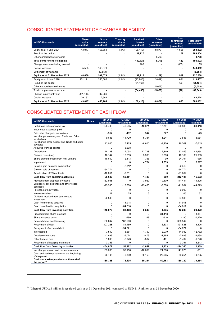# CONSOLIDATED STATEMENT OF CHANGES IN EQUITY

| In USD thousands                   | <b>Share</b><br>capital<br>(unaudited) | <b>Share</b><br>premium<br>(unaudited) | <b>Treasury</b><br>shares<br>(unaudited) | <b>Retained</b><br><b>losses</b><br>(unaudited) | Other<br>reserves<br>(unaudited) | Non-<br>controlling<br>interest<br>(unaudited) | <b>Total equity</b><br>(unaudited) |
|------------------------------------|----------------------------------------|----------------------------------------|------------------------------------------|-------------------------------------------------|----------------------------------|------------------------------------------------|------------------------------------|
| Equity as at 1 Jan. 2021           | 43,047                                 | 456,764                                | (1, 143)                                 | (108, 413)                                      | (8, 877)                         | 1,655                                          | 383,032                            |
| Result of the period               |                                        |                                        |                                          | 189,725                                         |                                  | 129                                            | 189,854                            |
| Other comprehensive income         |                                        |                                        |                                          |                                                 | 8,768                            |                                                | 8,768                              |
| Total comprehensive income         |                                        |                                        |                                          | 189,725                                         | 8,768                            | 129                                            | 198,622                            |
| Change in non-controlling interest |                                        |                                        |                                          | 900                                             |                                  | (865)                                          | 35                                 |
| Capital increase                   | 5,583                                  | 143,870                                |                                          |                                                 |                                  |                                                | 149,452                            |
| Settlement of warrants             |                                        | (3, 554)                               |                                          |                                                 |                                  |                                                | (3, 554)                           |
| Equity as at 31 December 2021      | 48,630                                 | 597,079                                | (1, 143)                                 | 82,212                                          | (109)                            | 919                                            | 727,588                            |
| Equity as at 1 Jan. 2020           | 101,121                                | 356,566                                | (1, 143)                                 | (43,948)                                        | (3, 819)                         | 1,681                                          | 410,457                            |
| Result of the period               |                                        |                                        |                                          | (64, 465)                                       |                                  | (26)                                           | (64, 491)                          |
| Other comprehensive income         |                                        |                                        |                                          |                                                 | (5,058)                          |                                                | (5,058)                            |
| Total comprehensive income         | ۰                                      |                                        |                                          | (64, 465)                                       | (5,058)                          | (26)                                           | (69, 549)                          |
| Change in nominal value            | (97, 236)                              | 97,236                                 |                                          |                                                 |                                  |                                                |                                    |
| Capital increase                   | 39,162                                 | 2.962                                  |                                          |                                                 |                                  |                                                | 42,124                             |
| Equity as at 31 December 2020      | 43,047                                 | 456,764                                | (1, 143)                                 | (108, 413)                                      | (8, 877)                         | 1,655                                          | 383,032                            |

# CONSOLIDATED STATEMENT OF CASH FLOW

| In USD thousands                                                    | Q4 2021<br><b>Notes</b><br>(unaudited) | Q3 2021<br>(unaudited) | Q4 2020<br>(unaudited) | Q3 2020<br>(unaudited) | FY 2021<br>(unaudited) | FY 2020<br>(audited) |
|---------------------------------------------------------------------|----------------------------------------|------------------------|------------------------|------------------------|------------------------|----------------------|
| Profit/Loss before income tax                                       | 128,408                                | 46,585                 | $-18,371$              | $-17,781$              | 190,530                | $-64,418$            |
| Income tax expenses paid                                            | 0                                      | 0                      | $\mathbf 0$            | $\mathbf 0$            | $\mathbf 0$            | $\Omega$             |
| Fair value change in derivatives                                    | $-554$                                 | $-462$                 | 544                    | 327                    | $\mathbf 0$            | $-73$                |
| Net change Inventory and Trade and Other<br>receivables             | 9,686                                  | $-14,720$              | 5,384                  | 1,241                  | $-3,588$               | 8,961                |
| Net change other current and Trade and other<br>payables            | 13.043                                 | 7.465                  | $-8.606$               | $-4.426$               | 26.569                 | $-7.615$             |
| Acquired working capital                                            | $\Omega$                               | 5,608                  |                        | $\Omega$               | $\Omega$               | $\Omega$             |
| Depreciation                                                        | 18,138                                 | 17,098                 | 12,798                 | 12,340                 | 62,049                 | 49.654               |
| Finance costs (net)                                                 | 16,144                                 | 12,213                 | 5,338                  | 6,396                  | 40,169                 | 21,933               |
| Share of profit or loss from joint venture                          | $-18,600$                              | $-2,313$               | $-363$                 | -90                    | $-24,794$              | $-936$               |
| Impairment                                                          | 0                                      | 0                      | 4.764                  | 1.733                  | $\mathbf 0$            | 8,997                |
| Bargain gain business combination                                   | 0                                      | $-2,312$               | 0                      | 0                      | $-2,312$               | $\Omega$             |
| Gain on sale of vessels                                             | $-54.774$                              | $\Omega$               | $\Omega$               | $\Omega$               | $-54,774$              | $\Omega$             |
| Amortization of TC contracts                                        | $-12,851$                              | $-8,811$               | $\Omega$               | $\Omega$               | $-21,662$              | $\Omega$             |
| Cash flow from operating activities                                 | 98,640                                 | 60,351                 | 1,488                  | $-260$                 | 212,187                | 16,502               |
| Proceeds from disposal of vessels                                   | 132,938                                | 0                      | 3,922                  | 10,500                 | 141,444                | 14,525               |
| Scrubbers, dry dockings and other vessel<br>upgrades                | $-15,395$                              | $-10.800$              | $-13,465$              | $-8.608$               | $-41.084$              | $-44.029$            |
| Purchase of new vessel                                              | 0                                      | 0                      | 0                      | 0                      | $-9,000$               | $\mathbf 0$          |
| Interest received                                                   | 27                                     | 25                     | 3                      | 3                      | 65                     | 82                   |
| Dividend received from joint venture<br>investment                  | 22,500                                 | $\Omega$               | $\Omega$               | $\Omega$               | 24,500                 | $\Omega$             |
| Cash from entities acquired                                         | 0                                      | 11,918                 | $\Omega$               | 0                      | 11,918                 | $\Omega$             |
| Cash consideration acquisition                                      | 0                                      | $-84,610$              | 0                      | 0                      | $-84,611$              | $\Omega$             |
| Cash flow from investing activities                                 | 140,070                                | $-83,468$              | $-9,540$               | 1,895                  | 43,233                 | $-29,422$            |
| Proceeds from share issuance                                        | 0                                      | $\Omega$               | $\Omega$               | 31,418                 | $\Omega$               | 43,354               |
| Share issuance costs                                                | 0                                      | $-190$                 | $-28$                  | $-916$                 | $-190$                 | $-1.220$             |
| Proceeds from debt financing                                        | 180.047                                | 182,500                | 0                      | 0                      | 368,547                | $\Omega$             |
| Repayment of debt                                                   | $-307,228$                             | $-84,159$              | $\Omega$               | $-6.603$               | $-421,823$             | $-8,326$             |
| Repayment of acquired debt                                          | 0                                      | $-34,071$              | $\Omega$               | 0                      | $-34,071$              | $\mathbf 0$          |
| Interest paid                                                       | $-3,540$                               | $-3,661$               | $-1.759$               | $-2,070$               | $-14,082$              | $-12.732$            |
| Debt issuance costs                                                 | $-2,699$                               | $-5,074$               | $-473$                 | $-1,895$               | $-7,939$               | $-2,638$             |
| Other finance paid                                                  | 1,896                                  | $-2,073$               | $-587$                 | $-481$                 | $-1,437$               | $-1,226$             |
| Repayment of hedging instrument                                     | $-3,353$                               | $\mathbf 0$            | $\Omega$               | 0                      | $-3,351$               | $-5,243$             |
| Cash flow from financing activities                                 | $-134,877$                             | 53.272                 | $-2.847$               | 19,453                 | $-114,345$             | 11,969               |
| Net change in cash and cash equivalents                             | 103,833                                | 30,156                 | $-10,899$              | 21,088                 | 141,075                | -951                 |
| Cash and cash equivalents at the beginning<br>of the period         | 76,495                                 | 46,339                 | 50,153                 | 29,065                 | 39,254                 | 40,205               |
| Cash and cash equivalents at the end of<br>the period <sup>14</sup> | 180,328                                | 76,495                 | 39,254                 | 50,153                 | 180,329                | 39,254               |

<sup>14</sup> Whereof USD 2.6 million is restricted cash as at 31 December 2021 compared to USD 11.5 million as at 31 December 2020.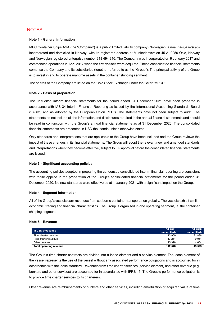# **NOTES**

#### **Note 1 - General information**

MPC Container Ships ASA (the "Company") is a public limited liability company (Norwegian: *allmennaksjeselskap*) incorporated and domiciled in Norway, with its registered address at Munkedamsveien 45 A, 0250 Oslo, Norway and Norwegian registered enterprise number 918 494 316. The Company was incorporated on 9 January 2017 and commenced operations in April 2017 when the first vessels were acquired. These consolidated financial statements comprise the Company and its subsidiaries (together referred to as the "Group"). The principal activity of the Group is to invest in and to operate maritime assets in the container shipping segment.

The shares of the Company are listed on the Oslo Stock Exchange under the ticker "MPCC".

#### **Note 2 - Basis of preparation**

The unaudited interim financial statements for the period ended 31 December 2021 have been prepared in accordance with IAS 34 Interim Financial Reporting as issued by the International Accounting Standards Board ("IASB") and as adopted by the European Union ("EU"). The statements have not been subject to audit. The statements do not include all the information and disclosures required in the annual financial statements and should be read in conjunction with the Group's annual financial statements as at 31 December 2020. The consolidated financial statements are presented in USD thousands unless otherwise stated.

Only standards and interpretations that are applicable to the Group have been included and the Group reviews the impact of these changes in its financial statements. The Group will adopt the relevant new and amended standards and interpretations when they become effective, subject to EU approval before the consolidated financial statements are issued.

## **Note 3 - Significant accounting policies**

The accounting policies adopted in preparing the condensed consolidated interim financial reporting are consistent with those applied in the preparation of the Group's consolidated financial statements for the period ended 31 December 2020. No new standards were effective as at 1 January 2021 with a significant impact on the Group.

## **Note 4 - Segment information**

All of the Group's vessels earn revenues from seaborne container transportation globally. The vessels exhibit similar economic, trading and financial characteristics. The Group is organised in one operating segment, ie. the container shipping segment.

# **Note 5 - Revenue**

| In USD thousands               | Q4 2021<br>(unaudited) | Q4 2020<br>(unaudited) |
|--------------------------------|------------------------|------------------------|
| Time charter revenue           | 113.959                | 31.888                 |
| Pool charter revenue           | 13.261                 | 9.051                  |
| Other revenue                  | 15.328                 | 4.634                  |
| <b>Total operating revenue</b> | 142.548                | 45.573                 |

The Group's time charter contracts are divided into a lease element and a service element. The lease element of the vessel represents the use of the vessel without any associated performance obligations and is accounted for in accordance with the lease standard. Revenues from time charter services (service element) and other revenue (e.g. bunkers and other services) are accounted for in accordance with IFRS 15. The Group's performance obligation is to provide time charter services to its charterers.

Other revenue are reimbursements of bunkers and other services, including amortization of acquired value of time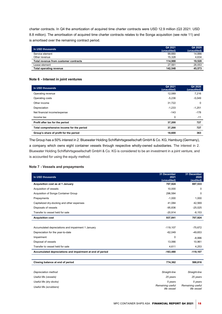charter contracts. In Q4 the amortization of acquired time charter contracts were USD 12.9 million (Q3 2021: USD 8.8 million). The amortisation of acquired time charter contracts relates to the Songa acquisition (see note 11) and is amortised over the remaining contract period.

| In USD thousands                      | Q4 2021<br>(unaudited) | Q4 2020<br>(unaudited) |
|---------------------------------------|------------------------|------------------------|
| Service element                       | 99.660                 | 14.886                 |
| Other revenue                         | 15.328                 | 4.634                  |
| Total revenue from customer contracts | 114.988                | 19.520                 |
| Lease element                         | 27.561                 | 26.053                 |
| Total operating revenue               | 142.548                | 45.573                 |

# **Note 6 - Interest in joint ventures**

| In USD thousands                          | Q4 2021<br>(unaudited) | Q4 2020<br>(unaudited) |
|-------------------------------------------|------------------------|------------------------|
| Operating revenue                         | 12,089                 | 7,216                  |
| Operating costs                           | $-5,236$               | $-5,049$               |
| Other income                              | 31,722                 | 0                      |
| Depreciation                              | $-1,233$               | $-1,251$               |
| Net financial income/expense              | $-143$                 | $-178$                 |
| Income tax                                | 0                      | $-11$                  |
| Profit after tax for the period           | 37,200                 | 727                    |
| Total comprehensive income for the period | 37,200                 | 727                    |
| Group's share of profit for the period    | 18,600                 | 363                    |

The Group has a 50% interest in 2. Bluewater Holding Schiffahrtsgesellschaft GmbH & Co. KG, Hamburg (Germany),

a company which owns eight container vessels through respective wholly-owned subsidiaries. The interest in 2. Bluewater Holding Schiffahrtsgesellschaft GmbH & Co. KG is considered to be an investment in a joint venture, and is accounted for using the equity method.

# **Note 7 - Vessels and prepayments**

| In USD thousands                                          | 31 December<br>2021<br>(unaudited) | 31 December<br>2020<br>(audited) |
|-----------------------------------------------------------|------------------------------------|----------------------------------|
| Acquisition cost as at 1 January                          | 707,924                            | 697,533                          |
| Acquisition of vessels                                    | 10,000                             | $\Omega$                         |
| Acquisition of Songa Container Group                      | 296,584                            | $\Omega$                         |
| Prepayments                                               | $-1,000$                           | 1,000                            |
| Capitalized dry-docking and other expenses                | 41,084                             | 42,569                           |
| Disposals of vessels                                      | $-95,836$                          | $-25,025$                        |
| Transfer to vessel held for sale                          | $-20,914$                          | $-8,153$                         |
| <b>Acquisition cost</b>                                   | 937,841                            | 707,924                          |
|                                                           |                                    |                                  |
| Accumulated depreciations and impairment 1 January        | $-119,107$                         | $-75,672$                        |
| Depreciation for the year-to-date                         | $-62,049$                          | $-49,653$                        |
| Impairment                                                | 0                                  | $-8,996$                         |
| Disposal of vessels                                       | 13,066                             | 10,961                           |
| Transfer to vessel held for sale                          | 4,611                              | 4,253                            |
| Accumulated depreciations and impairment at end of period | $-163,480$                         | $-119,107$                       |
|                                                           |                                    |                                  |
| Closing balance at end of period                          | 774,362                            | 588,816                          |
|                                                           |                                    |                                  |
| Depreciation method                                       | Straight-line                      | Straight-line                    |
| Useful life (vessels)                                     | 25 years                           | 25 years                         |
| Useful life (dry docks)                                   | 5 years                            | 5 years                          |
| Useful life (scrubbers)                                   | Remaining useful<br>life vessel    | Remaining useful<br>life vessel  |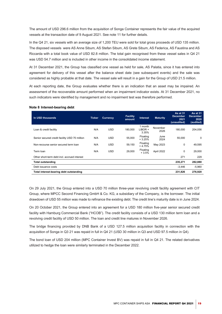The amount of USD 296.6 million from the acquisition of Songa Container represents the fair value of the acquired vessels at the transaction date of 9 August 2021. See note 11 for further details.

In the Q4 21, six vessels with an average size of 1,200 TEU were sold for total gross proceeds of USD 135 million. The disposed vessels were AS Anne Sibum, AS Stefan Sibum, AS Grete Sibum, AS Federica, AS Faustina and AS Riccarda with a total book value of USD 82.8 million. The total gain recognised from these vessel sales in Q4 21 was USD 54.7 million and is included in other income in the consolidated income statement.

At 31 December 2021, the Group has classified one vessel as held for sale, AS Palatia, since it has entered into agreement for delivery of this vessel after the balance sheet date (see subsequent events) and the sale was considered as highly probable at that date. The vessel sale will result in a gain for the Group of USD 21.5 million.

At each reporting date, the Group evaluates whether there is an indication that an asset may be impaired. An assessment of the recoverable amount performed when an impairment indicator exists. At 31 December 2021, no such indicators were identified by management and no impairment test was therefore performed.

| In USD thousands                              | <b>Ticker</b> | <b>Currency</b> | <b>Facility</b><br>amount | <b>Interest</b>             | <b>Maturity</b>  | <b>As at 31</b><br><b>December</b><br>2021<br>(unaudited) | <b>As at 31</b><br><b>December</b><br>2020<br>(audited) |
|-----------------------------------------------|---------------|-----------------|---------------------------|-----------------------------|------------------|-----------------------------------------------------------|---------------------------------------------------------|
| Loan & credit facility                        | N/A           | <b>USD</b>      | 180.000                   | 1 month<br>LIBOR +<br>3.35% | November<br>2026 | 180,000                                                   | 204,056                                                 |
| Senior secured credit facility USD 70 million | N/A           | <b>USD</b>      | 55,000                    | Floating<br>$+3.25%$        | June<br>2024     | 55,000                                                    | 0                                                       |
| Non-recourse senior secured term loan         | N/A           | <b>USD</b>      | 59,150                    | Floating<br>$+4.75%$        | May 2023         | 0                                                         | 49,595                                                  |
| Term loan                                     | N/A           | <b>USD</b>      | 29,000                    | Floating<br>$+3.5%$         | April 2022       | $\mathbf 0$                                               | 29,000                                                  |
| Other short-term debt incl. accrued interest  |               |                 |                           |                             |                  | 271                                                       | 229                                                     |
| <b>Total outstanding</b>                      |               |                 |                           |                             |                  | 235,271                                                   | 282,880                                                 |
| Debt issuance costs                           |               |                 |                           |                             |                  | $-3,446$                                                  | $-5,960$                                                |
| Total interest-bearing debt outstanding       |               |                 |                           |                             |                  | 231,826                                                   | 276,920                                                 |

## **Note 8 Interest-bearing debt**

On 29 July 2021, the Group entered into a USD 70 million three-year revolving credit facility agreement with CIT Group, where MPCC Second Financing GmbH & Co. KG, a subsidiary of the Company, is the borrower. The initial drawdown of USD 55 million was made to refinance the existing debt. The credit line's maturity date is in June 2024.

On 20 October 2021, the Group entered into an agreement for a USD 180 million five-year senior secured credit facility with Hamburg Commercial Bank ("HCOB"). The credit facility consists of a USD 130 million term loan and a revolving credit facility of USD 50 million. The loan and credit line matures in November 2026.

The bridge financing provided by DNB Bank of a USD 127.5 million acquisition facility in connection with the acquisition of Songa in Q3 21 was repaid in full in Q4 21 (USD 30 million in Q3 and USD 97.5 million in Q4).

The bond loan of USD 204 million (MPC Container Invest BV) was repaid in full in Q4 21. The related derivatives utilized to hedge the loan were similarly terminated in the December 2022.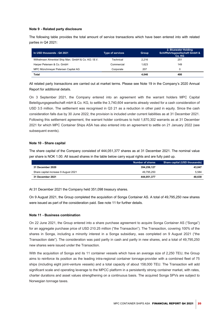## **Note 9 - Related party disclosure**

The following table provides the total amount of service transactions which have been entered into with related parties in Q4 2021:

| In USD thousands - Q4 2021                          | <b>Type of services</b> | Group | 2. Bluewater Holding<br><b>Schifffahrtsgesellschaft GmbH &amp;</b><br>Co. KG |
|-----------------------------------------------------|-------------------------|-------|------------------------------------------------------------------------------|
| Wilhelmsen Ahrenkiel Ship Man. GmbH & Co. KG / B.V. | Technical               | 2.216 | 251                                                                          |
| Harper Petersen & Co. GmbH                          | Commercial              | 1.623 | 149                                                                          |
| MPC Münchmeyer Petersen Capital AG                  | Corporate               | 207   |                                                                              |
| <b>Total</b>                                        |                         | 4.046 | 400                                                                          |

All related party transactions are carried out at market terms. Please see Note 19 in the Company's 2020 Annual Report for additional details.

On 3 September 2021, the Company entered into an agreement with the warrant holders MPC Capital Beteiligungsgesellschaft mbH & Co. KG, to settle the 3,740,604 warrants already vested for a cash consideration of USD 3.5 million. The settlement was recognised in Q3 21 as a reduction in other paid in equity. Since the cash consideration falls due by 30 June 2022, the provision is included under current liabilities as at 31 December 2021. Following this settlement agreement, the warrant holder continues to hold 1,870,302 warrants as at 31 December 2021 for which MPC Container Ships ASA has also entered into an agreement to settle on 21 January 2022 (see subsequent events).

# **Note 10 - Share capital**

The share capital of the Company consisted of 444,051,377 shares as at 31 December 2021. The nominal value per share is NOK 1.00. All issued shares in the table below carry equal rights and are fully paid up.

|                                      | <b>Number of shares</b> | Share capital (USD thousands) |
|--------------------------------------|-------------------------|-------------------------------|
| 31 December 2020                     | 394.256.127             | 43.047                        |
| Share capital increase 9 August 2021 | 49.795.250              | 5.584                         |
| 31 December 2021                     | 444.051.377             | 48.630                        |

At 31 December 2021 the Company held 351,098 treasury shares.

On 9 August 2021, the Group completed the acquisition of Songa Container AS. A total of 49,795,250 new shares were issued as part of the consideration paid. See note 11 for further details.

## **Note 11 - Business combination**

On 22 June 2021, the Group entered into a share purchase agreement to acquire Songa Container AS ("Songa") for an aggregate purchase price of USD 210.25 million ("the Transaction"). The Transaction, covering 100% of the shares in Songa, including a minority interest in a Songa subsidiary, was completed on 9 August 2021 ("the Transaction date"). The consideration was paid partly in cash and partly in new shares, and a total of 49,795,250 new shares were issued under the Transaction.

With the acquisition of Songa and its 11 container vessels which have an average size of 2,250 TEU, the Group aims to reinforce its position as the leading intra-regional container tonnage-provider with a combined fleet of 75 ships (including eight joint-venture vessels) and a total capacity of about 158,000 TEU. The Transaction will add significant scale and operating leverage to the MPCC platform in a persistently strong container market, with rates, charter durations and asset values strengthening on a continuous basis. The acquired Songa SPVs are subject to Norwegian tonnage taxes.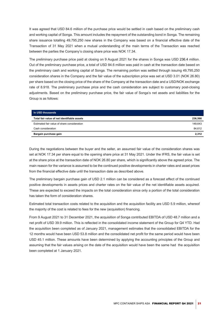It was agreed that USD 84.6 million of the purchase price would be settled in cash based on the preliminary cash and working capital of Songa. This amount includes the repayment of the outstanding bond in Songa. The remaining share issuance totalling 49,795,250 new shares in the Company was based on a financial effective date of the Transaction of 31 May 2021 when a mutual understanding of the main terms of the Transaction was reached between the parties the Company's closing share price was NOK 17.34.

The preliminary purchase price paid at closing on 9 August 2021 for the shares in Songa was USD 236.4 million. Out of the preliminary purchase price, a total of USD 84.6 million was paid in cash at the transaction date based on the preliminary cash and working capital of Songa. The remaining portion was settled through issuing 49,795,250 consideration shares in the Company and the fair value of the subscription price was set at USD 3.01 (NOK 26.80) per share based on the closing price of the share of the Company at the transaction date and a USD/NOK exchange rate of 8.918. The preliminary purchase price and the cash consideration are subject to customary post-closing adjustments. Based on the preliminary purchase price, the fair value of Songa's net assets and liabilities for the Group is as follows:

| In USD thousands                            |         |
|---------------------------------------------|---------|
| Total fair value of net identifiable assets | 236.566 |
| Estimated fair value of share consideration | 149.643 |
| Cash consideration                          | 84.612  |
| Bargain purchase gain                       | 2,312   |

During the negotiations between the buyer and the seller, an assumed fair value of the consideration shares was set at NOK 17.34 per share equal to the opening share price at 31 May 2021. Under the IFRS, the fair value is set at the share price at the transaction date of NOK 26.80 per share, which is significantly above the agreed price. The main reason for the variance is assumed to be the continued positive developments in charter rates and asset prices from the financial effective date until the transaction date as described above.

The preliminary bargain purchase gain of USD 2.1 million can be considered as a forecast effect of the continued positive developments in assets prices and charter rates on the fair value of the net identifiable assets acquired. These are expected to exceed the impacts on the total consideration since only a portion of the total consideration has taken the form of consideration shares.

Estimated total transaction costs related to the acquisition and the acquisition facility are USD 5.9 million, whereof the majority of the cost is related to fees for the new (acquisition) financing.

From 9 August 2021 to 31 December 2021, the acquisition of Songa contributed EBITDA of USD 48.7 million and a net profit of USD 39.9 million. This is reflected in the consolidated income statement of the Group for Q4 YTD. Had the acquisition been completed as of January 2021, management estimates that the consolidated EBITDA for the 12 months would have been USD 53.8 million and the consolidated net profit for the same period would have been USD 45.1 million. These amounts have been determined by applying the accounting principles of the Group and assuming that the fair values arising on the date of the acquisition would have been the same had the acquisition been completed at 1 January 2021.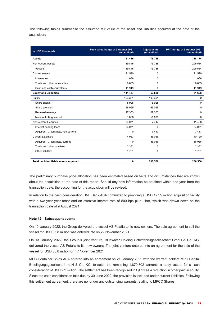The following tables summarise the assumed fair value of the asset and liabilities acquired at the date of the acquisition:

| Book value Songa at 9 August 2021<br>(unaudited) | <b>Adjustments</b><br>(unaudited) | PPA Songa at 9 August 2021<br>(unaudited) |  |
|--------------------------------------------------|-----------------------------------|-------------------------------------------|--|
| 141,436                                          | 176,738                           | 318,174                                   |  |
| 119,846                                          | 176,738                           | 296,584                                   |  |
| 119,846                                          | 176,738                           | 296,584                                   |  |
| 21,590                                           | 0                                 | 21,590                                    |  |
| 1.066                                            | 0                                 | 1.066                                     |  |
| 8,605                                            | 0                                 | 8,605                                     |  |
| 11,919                                           | 0                                 | 11,919                                    |  |
| 141,437                                          | $-59,828$                         | 81,608                                    |  |
| 103,301                                          | $-103,301$                        | $\Omega$                                  |  |
| 8,925                                            | $-8,925$                          | $\Omega$                                  |  |
| 66,065                                           | $-66,065$                         | $\Omega$                                  |  |
| 27,303                                           | $-27,303$                         | $\Omega$                                  |  |
| 1,008                                            | $-1,008$                          | $\Omega$                                  |  |
| 34,071                                           | 7,417                             | 41,488                                    |  |
| 34,071                                           | $\Omega$                          | 34.071                                    |  |
| 0                                                | 7,417                             | 7,417                                     |  |
| 4,063                                            | 36,056                            | 40,120                                    |  |
| 0                                                | 36,056                            | 36,056                                    |  |
| 2,362                                            | 0                                 | 2,362                                     |  |
| 1,701                                            | 0                                 | 1,701                                     |  |
|                                                  |                                   | 236,566                                   |  |
|                                                  | 0                                 | 236,566                                   |  |

The preliminary purchase price allocation has been estimated based on facts and circumstances that are known about the acquisition at the date of this report. Should any new information be obtained within one year from the transaction date, the accounting for the acquisition will be revised.

In relation to the cash consideration DNB Bank ASA committed to providing a USD 127.5 million acquisition facility with a two-year year tenor and an effective interest rate of 500 bps plus Libor, which was drawn down on the transaction date of 9 August 2021.

## **Note 12 - Subsequent events**

On 10 January 2022, the Group delivered the vessel AS Palatia to its new owners. The sale agreement to sell the vessel for USD 35.8 million was entered into on 22 November 2021.

On 13 January 2022, the Group's joint venture, Bluewater Holding Schifffahrtsgeselleschaft GmbH & Co. KG, delivered the vessel AS Petulia to its new owners. The joint venture entered into an agreement for the sale of the vessel for USD 35.8 million on 17 November 2021.

MPC Container Ships ASA entered into an agreement on 21 January 2022 with the warrant holders MPC Capital Beteiligungsgesellschaft mbH & Co. KG, to settle the remaining 1,870,302 warrants already vested for a cash consideration of USD 2.2 million. The settlement has been recognised in Q4 21 as a reduction in other paid in equity. Since the cash consideration falls due by 30 June 2022, the provision is included under current liabilities. Following this settlement agreement, there are no longer any outstanding warrants relating to MPCC Shares.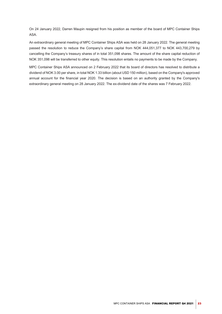On 24 January 2022, Darren Maupin resigned from his position as member of the board of MPC Container Ships ASA.

An extraordinary general meeting of MPC Container Ships ASA was held on 28 January 2022. The general meeting passed the resolution to reduce the Company's share capital from NOK 444,051,377 to NOK 443,700,279 by cancelling the Company's treasury shares of in total 351,098 shares. The amount of the share capital reduction of NOK 351,098 will be transferred to other equity. This resolution entails no payments to be made by the Company.

MPC Container Ships ASA announced on 2 February 2022 that its board of directors has resolved to distribute a dividend of NOK 3.00 per share, in total NOK 1.33 billion (about USD 150 million), based on the Company's approved annual account for the financial year 2020. The decision is based on an authority granted by the Company's extraordinary general meeting on 28 January 2022. The ex-dividend date of the shares was 7 February 2022.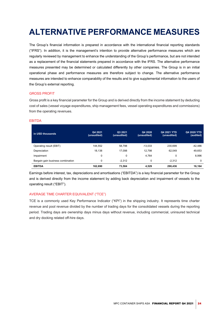# **ALTERNATIVE PERFORMANCE MEASURES**

The Group's financial information is prepared in accordance with the international financial reporting standards ("IFRS"). In addition, it is the management's intention to provide alternative performance measures which are regularly reviewed by management to enhance the understanding of the Group's performance, but are not intended as a replacement of the financial statements prepared in accordance with the IFRS. The alternative performance measures presented may be determined or calculated differently by other companies. The Group is in an initial operational phase and performance measures are therefore subject to change. The alternative performance measures are intended to enhance comparability of the results and to give supplemental information to the users of the Group's external reporting.

# GROSS PROFIT

Gross profit is a key financial parameter for the Group and is derived directly from the income statement by deducting cost of sales (vessel voyage expenditures, ship management fees, vessel operating expenditures and commissions) from the operating revenues.

## EBITDA

| in USD thousands                  | Q4 2021<br>(unaudited) | Q3 2021<br>(unaudited) | Q4 2020<br>(unaudited) | Q4 2021 YTD<br>(unaudited) | Q4 2020 YTD<br>(audited) |
|-----------------------------------|------------------------|------------------------|------------------------|----------------------------|--------------------------|
| Operating result (EBIT)           | 144.552                | 58,798                 | $-13.033$              | 230.699                    | $-42,486$                |
| Depreciation                      | 18,138                 | 17.098                 | 12.798                 | 62.049                     | 49,653                   |
| Impairment                        | 0                      | $\Omega$               | 4.764                  | $\Omega$                   | 8.996                    |
| Bargain gain business combination | 0                      | $-2.312$               | 0                      | $-2.312$                   | $\Omega$                 |
| <b>EBITDA</b>                     | 162.690                | 73.584                 | 4.529                  | 290.436                    | 16,164                   |

Earnings before interest, tax, depreciations and amortisations ("EBITDA") is a key financial parameter for the Group and is derived directly from the income statement by adding back depreciation and impairment of vessels to the operating result ("EBIT").

# AVERAGE TIME CHARTER EQUIVALENT ("TCE")

TCE is a commonly used Key Performance Indicator ("KPI") in the shipping industry. It represents time charter revenue and pool revenue divided by the number of trading days for the consolidated vessels during the reporting period. Trading days are ownership days minus days without revenue, including commercial, uninsured technical and dry docking related off-hire days.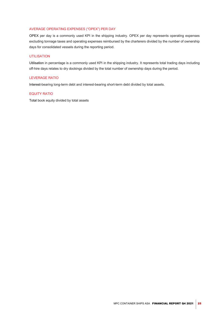## AVERAGE OPERATING EXPENSES ("OPEX") PER DAY

OPEX per day is a commonly used KPI in the shipping industry. OPEX per day represents operating expenses excluding tonnage taxes and operating expenses reimbursed by the charterers divided by the number of ownership days for consolidated vessels during the reporting period.

# UTILISATION

Utilisation in percentage is a commonly used KPI in the shipping industry. It represents total trading days including off-hire days relates to dry dockings divided by the total number of ownership days during the period.

# LEVERAGE RATIO

Interest-bearing long-term debt and interest-bearing short-term debt divided by total assets.

# EQUITY RATIO

Total book equity divided by total assets